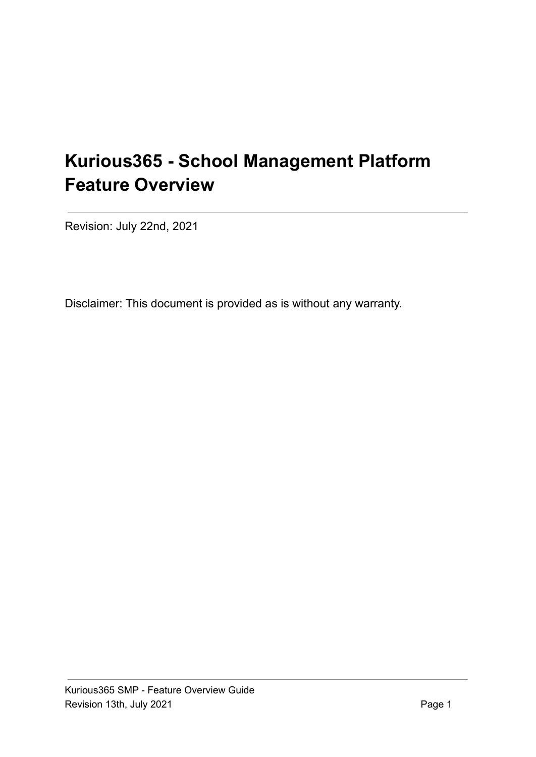# **Kurious365 - School Management Platform Feature Overview**

Revision: July 22nd, 2021

Disclaimer: This document is provided as is without any warranty.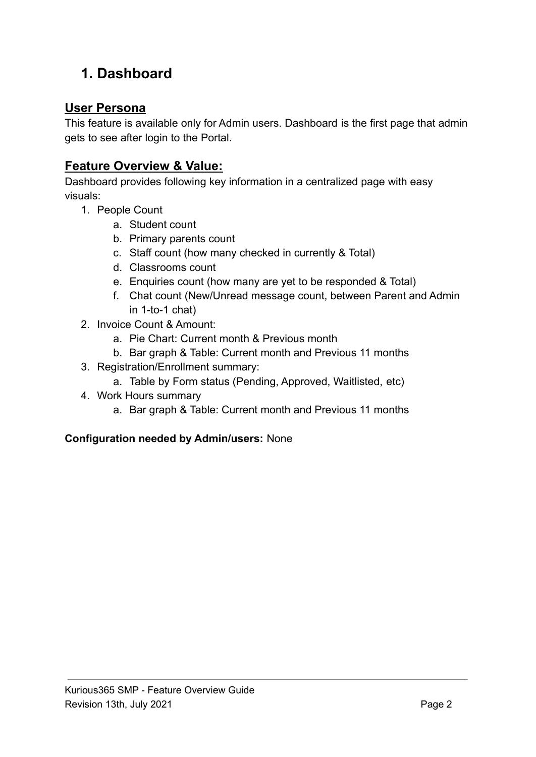# **1. Dashboard**

### **User Persona**

This feature is available only for Admin users. Dashboard is the first page that admin gets to see after login to the Portal.

### **Feature Overview & Value:**

Dashboard provides following key information in a centralized page with easy visuals:

- 1. People Count
	- a. Student count
	- b. Primary parents count
	- c. Staff count (how many checked in currently & Total)
	- d. Classrooms count
	- e. Enquiries count (how many are yet to be responded & Total)
	- f. Chat count (New/Unread message count, between Parent and Admin in 1-to-1 chat)
- 2. Invoice Count & Amount:
	- a. Pie Chart: Current month & Previous month
	- b. Bar graph & Table: Current month and Previous 11 months
- 3. Registration/Enrollment summary:
	- a. Table by Form status (Pending, Approved, Waitlisted, etc)
- 4. Work Hours summary
	- a. Bar graph & Table: Current month and Previous 11 months

#### **Configuration needed by Admin/users:** None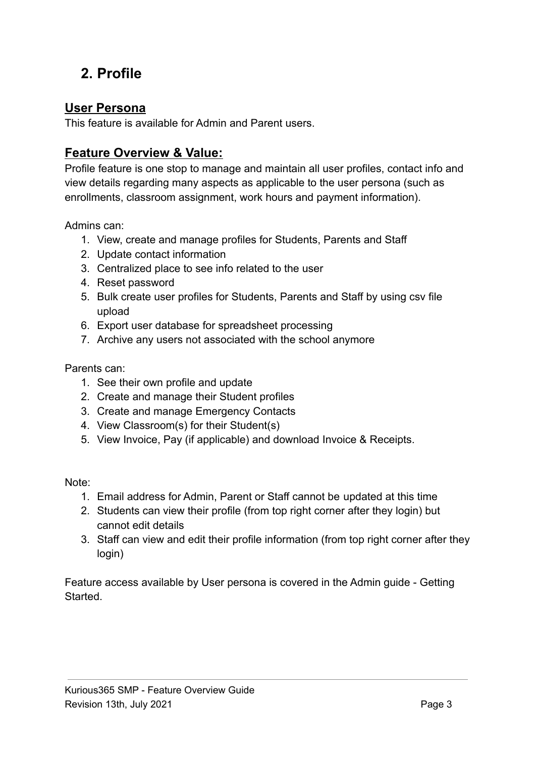## **2. Profile**

#### **User Persona**

This feature is available for Admin and Parent users.

### **Feature Overview & Value:**

Profile feature is one stop to manage and maintain all user profiles, contact info and view details regarding many aspects as applicable to the user persona (such as enrollments, classroom assignment, work hours and payment information).

Admins can:

- 1. View, create and manage profiles for Students, Parents and Staff
- 2. Update contact information
- 3. Centralized place to see info related to the user
- 4. Reset password
- 5. Bulk create user profiles for Students, Parents and Staff by using csv file upload
- 6. Export user database for spreadsheet processing
- 7. Archive any users not associated with the school anymore

Parents can:

- 1. See their own profile and update
- 2. Create and manage their Student profiles
- 3. Create and manage Emergency Contacts
- 4. View Classroom(s) for their Student(s)
- 5. View Invoice, Pay (if applicable) and download Invoice & Receipts.

Note:

- 1. Email address for Admin, Parent or Staff cannot be updated at this time
- 2. Students can view their profile (from top right corner after they login) but cannot edit details
- 3. Staff can view and edit their profile information (from top right corner after they login)

Feature access available by User persona is covered in the Admin guide - Getting Started.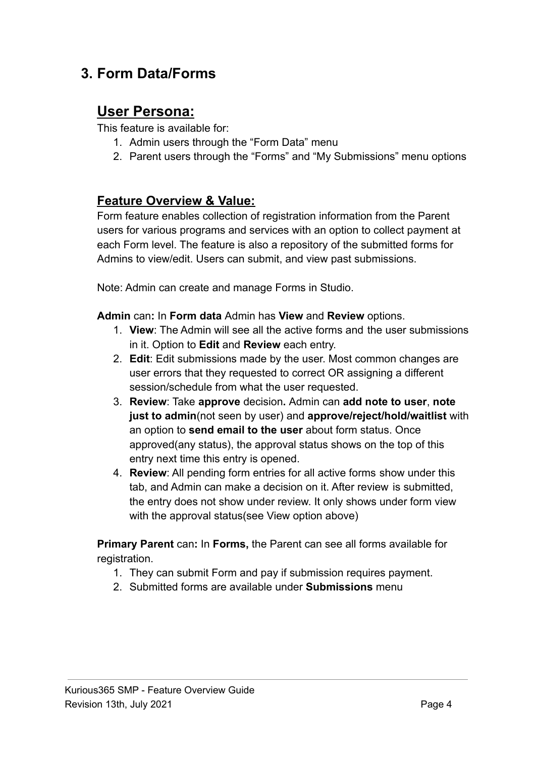### **3. Form Data/Forms**

### **User Persona:**

This feature is available for:

- 1. Admin users through the "Form Data" menu
- 2. Parent users through the "Forms" and "My Submissions" menu options

#### **Feature Overview & Value:**

Form feature enables collection of registration information from the Parent users for various programs and services with an option to collect payment at each Form level. The feature is also a repository of the submitted forms for Admins to view/edit. Users can submit, and view past submissions.

Note: Admin can create and manage Forms in Studio.

**Admin** can**:** In **Form data** Admin has **View** and **Review** options.

- 1. **View**: The Admin will see all the active forms and the user submissions in it. Option to **Edit** and **Review** each entry.
- 2. **Edit**: Edit submissions made by the user. Most common changes are user errors that they requested to correct OR assigning a different session/schedule from what the user requested.
- 3. **Review**: Take **approve** decision**.** Admin can **add note to user**, **note just to admin**(not seen by user) and **approve/reject/hold/waitlist** with an option to **send email to the user** about form status. Once approved(any status), the approval status shows on the top of this entry next time this entry is opened.
- 4. **Review**: All pending form entries for all active forms show under this tab, and Admin can make a decision on it. After review is submitted, the entry does not show under review. It only shows under form view with the approval status(see View option above)

**Primary Parent** can**:** In **Forms,** the Parent can see all forms available for registration.

- 1. They can submit Form and pay if submission requires payment.
- 2. Submitted forms are available under **Submissions** menu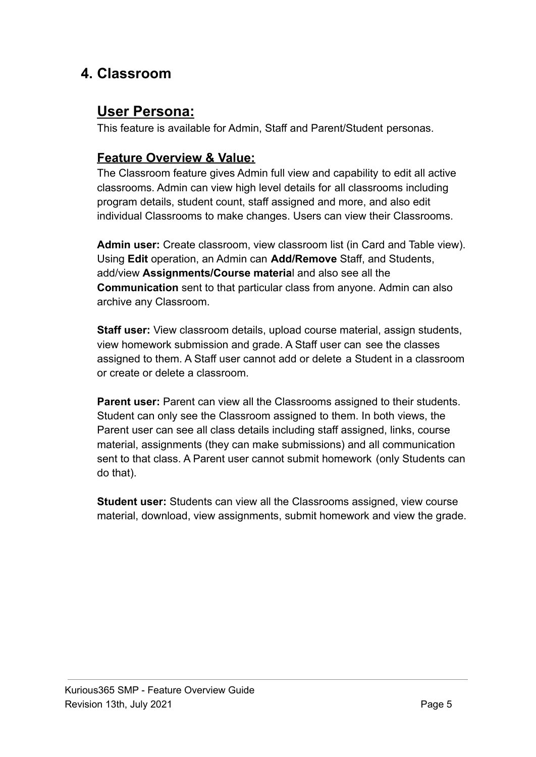### **4. Classroom**

### **User Persona:**

This feature is available for Admin, Staff and Parent/Student personas.

#### **Feature Overview & Value:**

The Classroom feature gives Admin full view and capability to edit all active classrooms. Admin can view high level details for all classrooms including program details, student count, staff assigned and more, and also edit individual Classrooms to make changes. Users can view their Classrooms.

**Admin user:** Create classroom, view classroom list (in Card and Table view). Using **Edit** operation, an Admin can **Add/Remove** Staff, and Students, add/view **Assignments/Course materia**l and also see all the **Communication** sent to that particular class from anyone. Admin can also archive any Classroom.

**Staff user:** View classroom details, upload course material, assign students, view homework submission and grade. A Staff user can see the classes assigned to them. A Staff user cannot add or delete a Student in a classroom or create or delete a classroom.

**Parent user:** Parent can view all the Classrooms assigned to their students. Student can only see the Classroom assigned to them. In both views, the Parent user can see all class details including staff assigned, links, course material, assignments (they can make submissions) and all communication sent to that class. A Parent user cannot submit homework (only Students can do that).

**Student user:** Students can view all the Classrooms assigned, view course material, download, view assignments, submit homework and view the grade.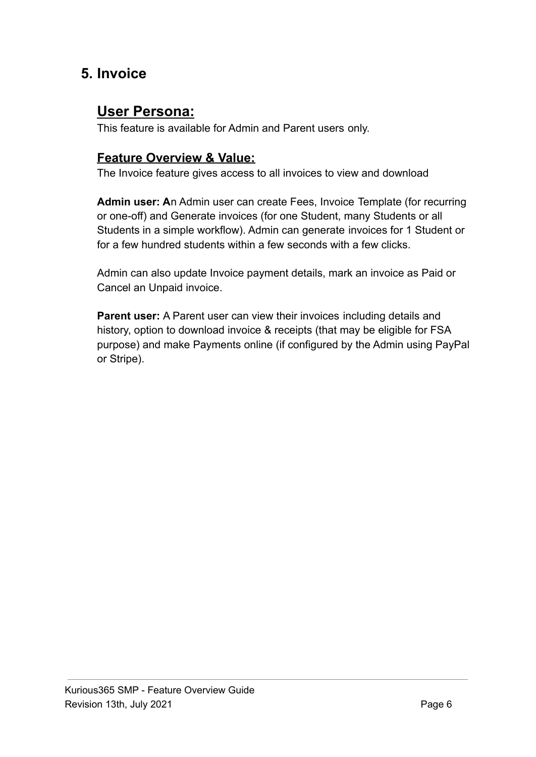### **5. Invoice**

### **User Persona:**

This feature is available for Admin and Parent users only.

#### **Feature Overview & Value:**

The Invoice feature gives access to all invoices to view and download

**Admin user: A**n Admin user can create Fees, Invoice Template (for recurring or one-off) and Generate invoices (for one Student, many Students or all Students in a simple workflow). Admin can generate invoices for 1 Student or for a few hundred students within a few seconds with a few clicks.

Admin can also update Invoice payment details, mark an invoice as Paid or Cancel an Unpaid invoice.

**Parent user:** A Parent user can view their invoices including details and history, option to download invoice & receipts (that may be eligible for FSA purpose) and make Payments online (if configured by the Admin using PayPal or Stripe).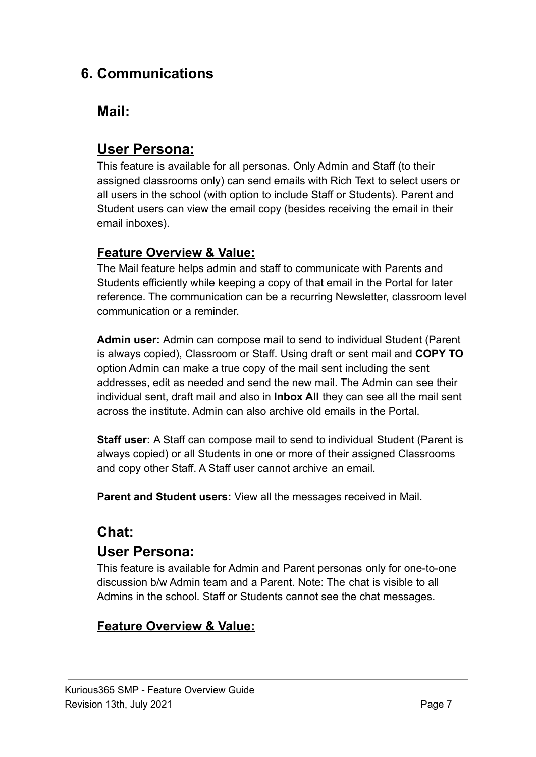### **6. Communications**

### **Mail:**

### **User Persona:**

This feature is available for all personas. Only Admin and Staff (to their assigned classrooms only) can send emails with Rich Text to select users or all users in the school (with option to include Staff or Students). Parent and Student users can view the email copy (besides receiving the email in their email inboxes).

#### **Feature Overview & Value:**

The Mail feature helps admin and staff to communicate with Parents and Students efficiently while keeping a copy of that email in the Portal for later reference. The communication can be a recurring Newsletter, classroom level communication or a reminder.

**Admin user:** Admin can compose mail to send to individual Student (Parent is always copied), Classroom or Staff. Using draft or sent mail and **COPY TO** option Admin can make a true copy of the mail sent including the sent addresses, edit as needed and send the new mail. The Admin can see their individual sent, draft mail and also in **Inbox All** they can see all the mail sent across the institute. Admin can also archive old emails in the Portal.

**Staff user:** A Staff can compose mail to send to individual Student (Parent is always copied) or all Students in one or more of their assigned Classrooms and copy other Staff. A Staff user cannot archive an email.

**Parent and Student users:** View all the messages received in Mail.

### **Chat:**

### **User Persona:**

This feature is available for Admin and Parent personas only for one-to-one discussion b/w Admin team and a Parent. Note: The chat is visible to all Admins in the school. Staff or Students cannot see the chat messages.

### **Feature Overview & Value:**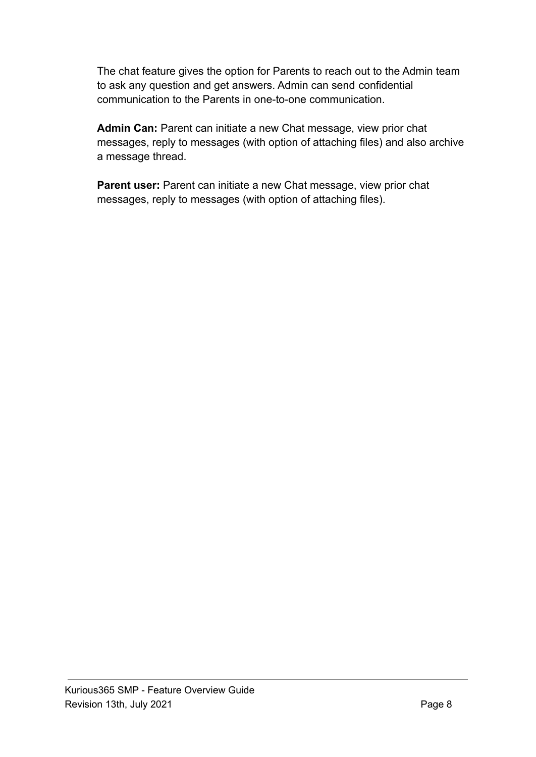The chat feature gives the option for Parents to reach out to the Admin team to ask any question and get answers. Admin can send confidential communication to the Parents in one-to-one communication.

**Admin Can:** Parent can initiate a new Chat message, view prior chat messages, reply to messages (with option of attaching files) and also archive a message thread.

**Parent user:** Parent can initiate a new Chat message, view prior chat messages, reply to messages (with option of attaching files).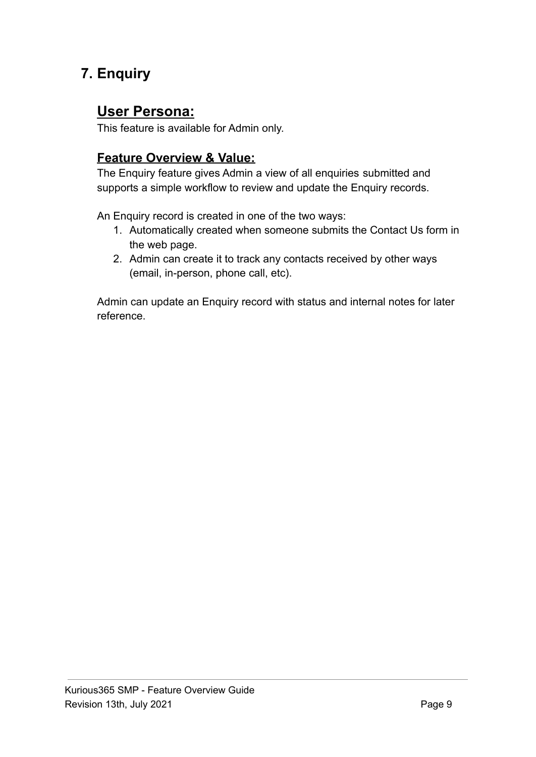## **7. Enquiry**

### **User Persona:**

This feature is available for Admin only.

### **Feature Overview & Value:**

The Enquiry feature gives Admin a view of all enquiries submitted and supports a simple workflow to review and update the Enquiry records.

An Enquiry record is created in one of the two ways:

- 1. Automatically created when someone submits the Contact Us form in the web page.
- 2. Admin can create it to track any contacts received by other ways (email, in-person, phone call, etc).

Admin can update an Enquiry record with status and internal notes for later reference.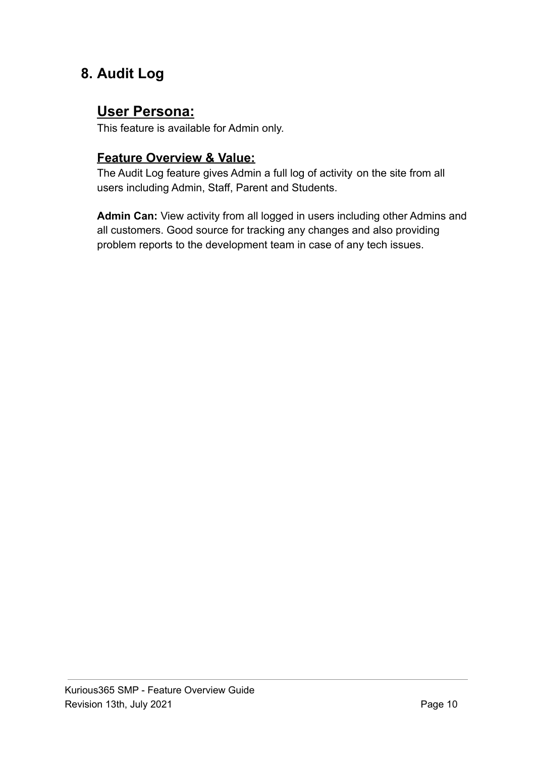### **8. Audit Log**

### **User Persona:**

This feature is available for Admin only.

#### **Feature Overview & Value:**

The Audit Log feature gives Admin a full log of activity on the site from all users including Admin, Staff, Parent and Students.

**Admin Can:** View activity from all logged in users including other Admins and all customers. Good source for tracking any changes and also providing problem reports to the development team in case of any tech issues.